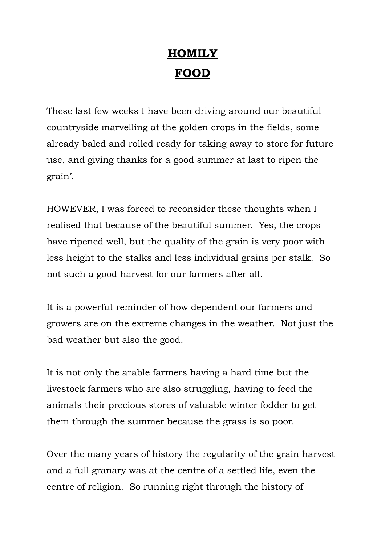## **HOMILY FOOD**

These last few weeks I have been driving around our beautiful countryside marvelling at the golden crops in the fields, some already baled and rolled ready for taking away to store for future use, and giving thanks for a good summer at last to ripen the grain'.

HOWEVER, I was forced to reconsider these thoughts when I realised that because of the beautiful summer. Yes, the crops have ripened well, but the quality of the grain is very poor with less height to the stalks and less individual grains per stalk. So not such a good harvest for our farmers after all.

It is a powerful reminder of how dependent our farmers and growers are on the extreme changes in the weather. Not just the bad weather but also the good.

It is not only the arable farmers having a hard time but the livestock farmers who are also struggling, having to feed the animals their precious stores of valuable winter fodder to get them through the summer because the grass is so poor.

Over the many years of history the regularity of the grain harvest and a full granary was at the centre of a settled life, even the centre of religion. So running right through the history of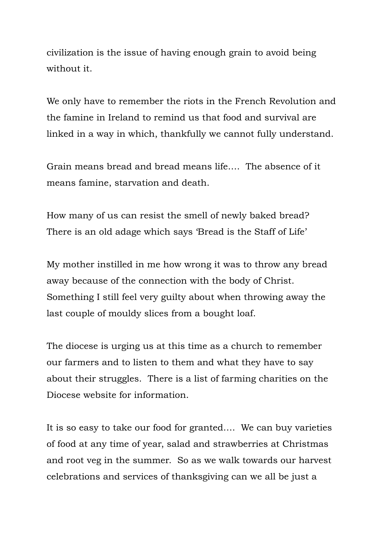civilization is the issue of having enough grain to avoid being without it.

We only have to remember the riots in the French Revolution and the famine in Ireland to remind us that food and survival are linked in a way in which, thankfully we cannot fully understand.

Grain means bread and bread means life…. The absence of it means famine, starvation and death.

How many of us can resist the smell of newly baked bread? There is an old adage which says 'Bread is the Staff of Life'

My mother instilled in me how wrong it was to throw any bread away because of the connection with the body of Christ. Something I still feel very guilty about when throwing away the last couple of mouldy slices from a bought loaf.

The diocese is urging us at this time as a church to remember our farmers and to listen to them and what they have to say about their struggles. There is a list of farming charities on the Diocese website for information.

It is so easy to take our food for granted…. We can buy varieties of food at any time of year, salad and strawberries at Christmas and root veg in the summer. So as we walk towards our harvest celebrations and services of thanksgiving can we all be just a